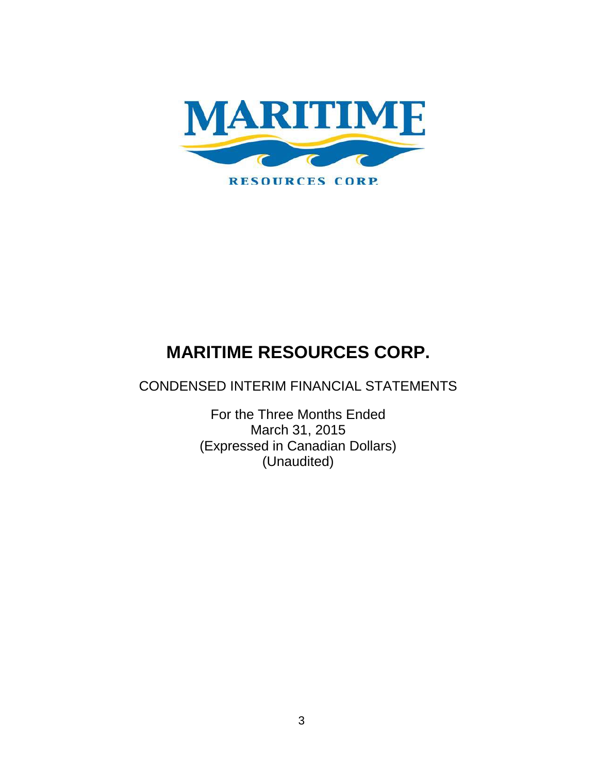

CONDENSED INTERIM FINANCIAL STATEMENTS

For the Three Months Ended March 31, 2015 (Expressed in Canadian Dollars) (Unaudited)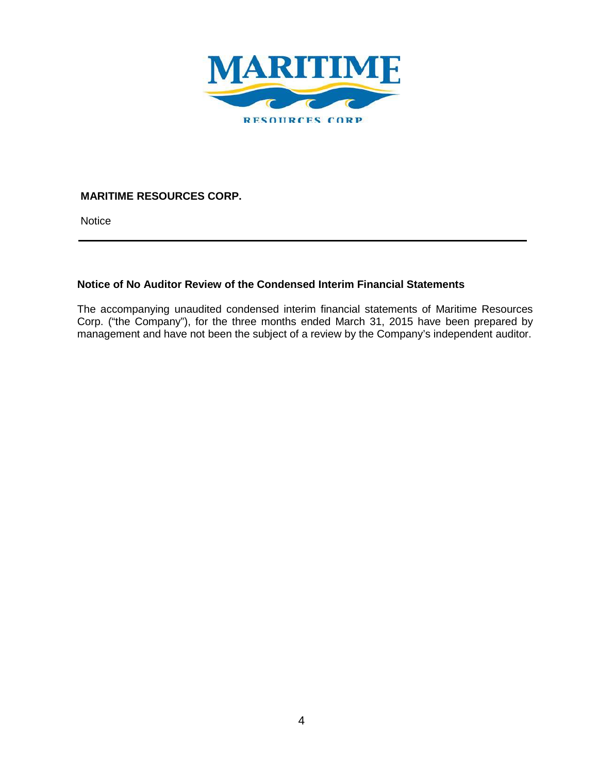

**Notice** 

## **Notice of No Auditor Review of the Condensed Interim Financial Statements**

The accompanying unaudited condensed interim financial statements of Maritime Resources Corp. ("the Company"), for the three months ended March 31, 2015 have been prepared by management and have not been the subject of a review by the Company's independent auditor.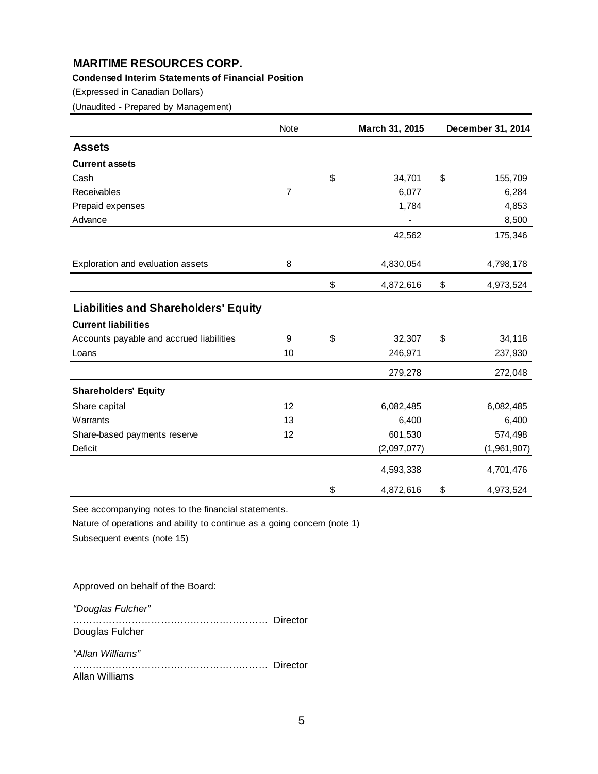#### **Condensed Interim Statements of Financial Position**

(Expressed in Canadian Dollars)

(Unaudited - Prepared by Management)

|                                             | Note | March 31, 2015  | December 31, 2014 |
|---------------------------------------------|------|-----------------|-------------------|
| <b>Assets</b>                               |      |                 |                   |
| <b>Current assets</b>                       |      |                 |                   |
| Cash                                        |      | \$<br>34,701    | \$<br>155,709     |
| Receivables                                 | 7    | 6,077           | 6,284             |
| Prepaid expenses                            |      | 1,784           | 4,853             |
| Advance                                     |      |                 | 8,500             |
|                                             |      | 42,562          | 175,346           |
| Exploration and evaluation assets           | 8    | 4,830,054       | 4,798,178         |
|                                             |      | \$<br>4,872,616 | \$<br>4,973,524   |
| <b>Liabilities and Shareholders' Equity</b> |      |                 |                   |
| <b>Current liabilities</b>                  |      |                 |                   |
| Accounts payable and accrued liabilities    | 9    | \$<br>32,307    | \$<br>34,118      |
| Loans                                       | 10   | 246,971         | 237,930           |
|                                             |      | 279,278         | 272,048           |
| <b>Shareholders' Equity</b>                 |      |                 |                   |
| Share capital                               | 12   | 6,082,485       | 6,082,485         |
| Warrants                                    | 13   | 6,400           | 6,400             |
| Share-based payments reserve                | 12   | 601,530         | 574,498           |
| Deficit                                     |      | (2,097,077)     | (1,961,907)       |
|                                             |      | 4,593,338       | 4,701,476         |
|                                             |      | \$<br>4,872,616 | \$<br>4,973,524   |

See accompanying notes to the financial statements.

Nature of operations and ability to continue as a going concern (note 1)

Subsequent events (note 15)

Approved on behalf of the Board:

*"Douglas Fulcher"*

…………………………………………………… Director Douglas Fulcher *"Allan Williams"*

…………………………………………………… Director Allan Williams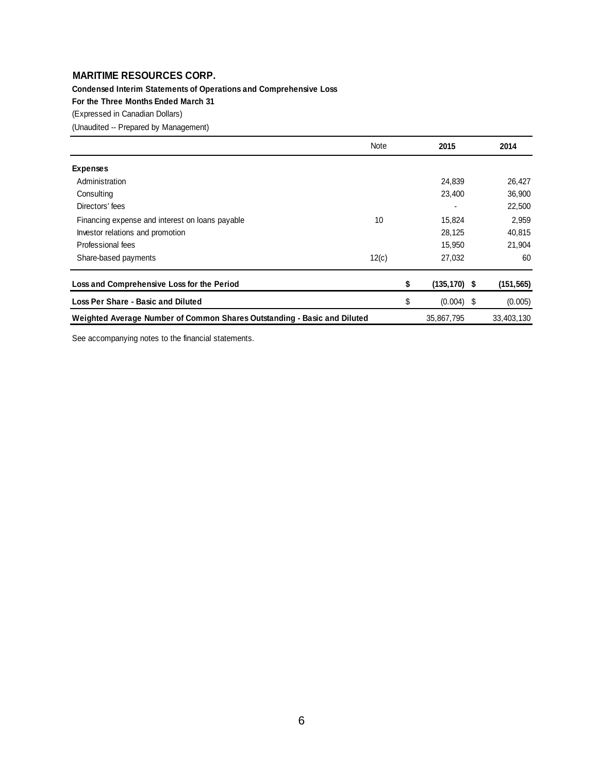**Condensed Interim Statements of Operations and Comprehensive Loss**

**For the Three Months Ended March 31**

(Expressed in Canadian Dollars)

(Unaudited -- Prepared by Management)

|                                                                          | Note  | 2015                  | 2014       |
|--------------------------------------------------------------------------|-------|-----------------------|------------|
| <b>Expenses</b>                                                          |       |                       |            |
| Administration                                                           |       | 24,839                | 26,427     |
| Consulting                                                               |       | 23,400                | 36,900     |
| Directors' fees                                                          |       |                       | 22,500     |
| Financing expense and interest on loans payable                          | 10    | 15,824                | 2,959      |
| Investor relations and promotion                                         |       | 28,125                | 40,815     |
| Professional fees                                                        |       | 15,950                | 21,904     |
| Share-based payments                                                     | 12(c) | 27,032                | 60         |
| Loss and Comprehensive Loss for the Period                               |       | \$<br>$(135, 170)$ \$ | (151, 565) |
| <b>Loss Per Share - Basic and Diluted</b>                                |       | \$<br>$(0.004)$ \$    | (0.005)    |
| Weighted Average Number of Common Shares Outstanding - Basic and Diluted |       | 35,867,795            | 33,403,130 |

See accompanying notes to the financial statements.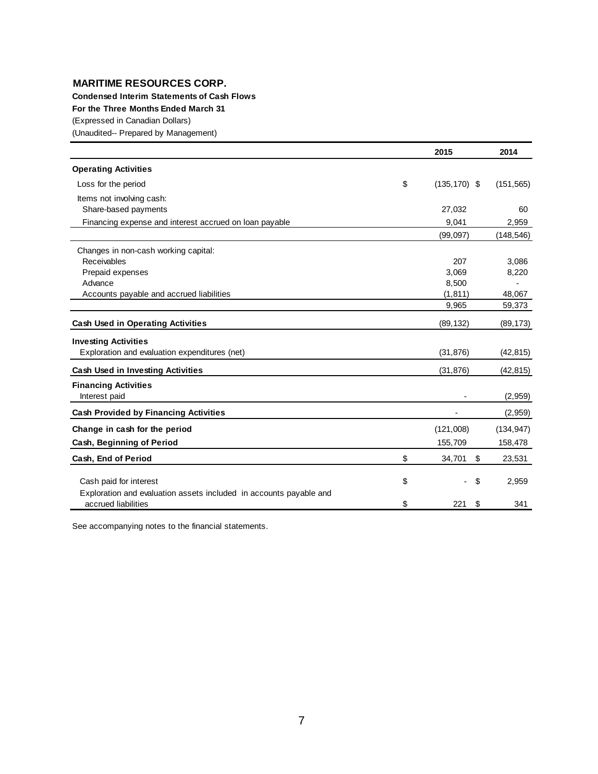**Condensed Interim Statements of Cash Flows**

**For the Three Months Ended March 31**

(Expressed in Canadian Dollars)

(Unaudited-- Prepared by Management)

|                                                                                           | 2015                  | 2014       |
|-------------------------------------------------------------------------------------------|-----------------------|------------|
| <b>Operating Activities</b>                                                               |                       |            |
| Loss for the period                                                                       | \$<br>$(135, 170)$ \$ | (151, 565) |
| Items not involving cash:                                                                 |                       |            |
| Share-based payments                                                                      | 27,032                | 60         |
| Financing expense and interest accrued on loan payable                                    | 9,041                 | 2,959      |
|                                                                                           | (99,097)              | (148, 546) |
| Changes in non-cash working capital:                                                      |                       |            |
| Receivables                                                                               | 207                   | 3,086      |
| Prepaid expenses                                                                          | 3,069                 | 8,220      |
| Advance                                                                                   | 8,500                 |            |
| Accounts payable and accrued liabilities                                                  | (1, 811)              | 48,067     |
|                                                                                           | 9,965                 | 59,373     |
| <b>Cash Used in Operating Activities</b>                                                  | (89, 132)             | (89, 173)  |
| <b>Investing Activities</b>                                                               |                       |            |
| Exploration and evaluation expenditures (net)                                             | (31, 876)             | (42, 815)  |
| <b>Cash Used in Investing Activities</b>                                                  | (31, 876)             | (42, 815)  |
| <b>Financing Activities</b>                                                               |                       |            |
| Interest paid                                                                             |                       | (2,959)    |
| <b>Cash Provided by Financing Activities</b>                                              |                       | (2,959)    |
| Change in cash for the period                                                             | (121,008)             | (134, 947) |
| Cash, Beginning of Period                                                                 | 155,709               | 158,478    |
| Cash, End of Period                                                                       | \$<br>34,701<br>\$    | 23,531     |
|                                                                                           |                       |            |
| Cash paid for interest                                                                    | \$<br>\$              | 2,959      |
| Exploration and evaluation assets included in accounts payable and<br>accrued liabilities | \$<br>221<br>\$       | 341        |

See accompanying notes to the financial statements.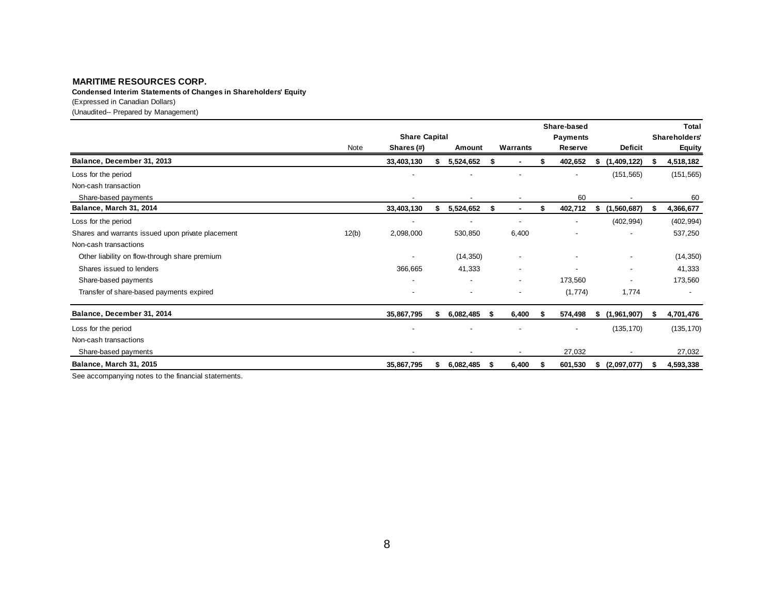**Condensed Interim Statements of Changes in Shareholders' Equity**

(Expressed in Canadian Dollars)

(Unaudited-- Prepared by Management)

|                                                   |       |                      |    |           |     |                          |   | Share-based |    |                          |    | Total                |
|---------------------------------------------------|-------|----------------------|----|-----------|-----|--------------------------|---|-------------|----|--------------------------|----|----------------------|
|                                                   |       | <b>Share Capital</b> |    |           |     |                          |   | Payments    |    |                          |    | <b>Shareholders'</b> |
|                                                   | Note  | Shares (#)           |    | Amount    |     | Warrants                 |   | Reserve     |    | <b>Deficit</b>           |    | <b>Equity</b>        |
| Balance, December 31, 2013                        |       | 33,403,130           | \$ | 5,524,652 |     |                          |   | 402,652     | S. | (1,409,122)              |    | 4,518,182            |
| Loss for the period                               |       |                      |    |           |     |                          |   |             |    | (151, 565)               |    | (151, 565)           |
| Non-cash transaction                              |       |                      |    |           |     |                          |   |             |    |                          |    |                      |
| Share-based payments                              |       |                      |    |           |     |                          |   | 60          |    |                          |    | 60                   |
| Balance, March 31, 2014                           |       | 33,403,130           | \$ | 5,524,652 | \$  | $\sim$                   | S | 402,712     | \$ | (1,560,687)              |    | 4,366,677            |
| Loss for the period                               |       |                      |    | -         |     | $\overline{\phantom{a}}$ |   |             |    | (402, 994)               |    | (402, 994)           |
| Shares and warrants issued upon private placement | 12(b) | 2,098,000            |    | 530,850   |     | 6,400                    |   |             |    |                          |    | 537,250              |
| Non-cash transactions                             |       |                      |    |           |     |                          |   |             |    |                          |    |                      |
| Other liability on flow-through share premium     |       |                      |    | (14, 350) |     | $\overline{\phantom{a}}$ |   |             |    | $\overline{\phantom{a}}$ |    | (14, 350)            |
| Shares issued to lenders                          |       | 366,665              |    | 41,333    |     | $\blacksquare$           |   |             |    | $\overline{\phantom{a}}$ |    | 41,333               |
| Share-based payments                              |       |                      |    | -         |     | $\overline{\phantom{a}}$ |   | 173,560     |    |                          |    | 173,560              |
| Transfer of share-based payments expired          |       |                      |    |           |     |                          |   | (1,774)     |    | 1,774                    |    |                      |
| Balance, December 31, 2014                        |       | 35,867,795           | S  | 6,082,485 | - 5 | 6,400                    |   | 574,498     | s. | (1,961,907)              | S. | 4,701,476            |
| Loss for the period                               |       |                      |    |           |     |                          |   |             |    | (135, 170)               |    | (135, 170)           |
| Non-cash transactions                             |       |                      |    |           |     |                          |   |             |    |                          |    |                      |
| Share-based payments                              |       |                      |    |           |     |                          |   | 27,032      |    |                          |    | 27,032               |
| Balance, March 31, 2015                           |       | 35,867,795           | S. | 6,082,485 | -56 | 6,400                    |   | 601,530     | s. | (2,097,077)              | S. | 4,593,338            |

See accompanying notes to the financial statements.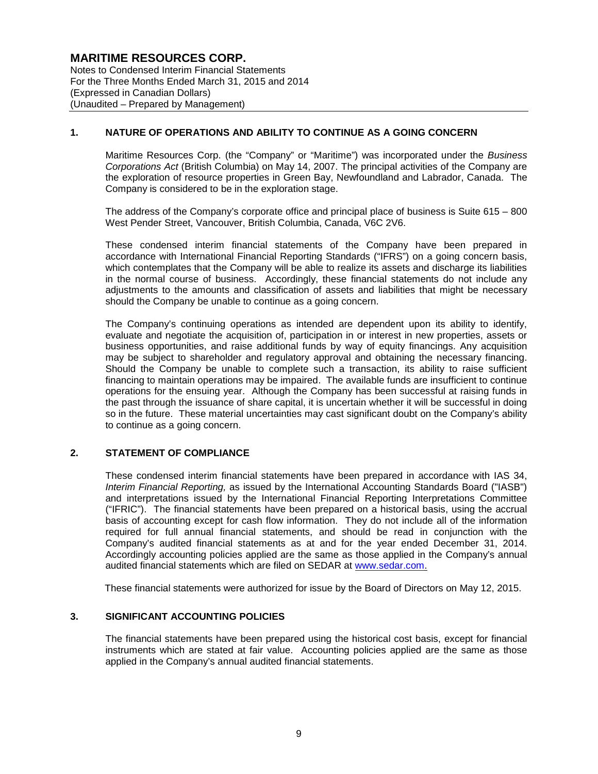Notes to Condensed Interim Financial Statements For the Three Months Ended March 31, 2015 and 2014 (Expressed in Canadian Dollars) (Unaudited – Prepared by Management)

### **1. NATURE OF OPERATIONS AND ABILITY TO CONTINUE AS A GOING CONCERN**

Maritime Resources Corp. (the "Company" or "Maritime") was incorporated under the *Business Corporations Act* (British Columbia) on May 14, 2007. The principal activities of the Company are the exploration of resource properties in Green Bay, Newfoundland and Labrador, Canada. The Company is considered to be in the exploration stage.

The address of the Company's corporate office and principal place of business is Suite 615 – 800 West Pender Street, Vancouver, British Columbia, Canada, V6C 2V6.

These condensed interim financial statements of the Company have been prepared in accordance with International Financial Reporting Standards ("IFRS") on a going concern basis, which contemplates that the Company will be able to realize its assets and discharge its liabilities in the normal course of business. Accordingly, these financial statements do not include any adjustments to the amounts and classification of assets and liabilities that might be necessary should the Company be unable to continue as a going concern.

The Company's continuing operations as intended are dependent upon its ability to identify, evaluate and negotiate the acquisition of, participation in or interest in new properties, assets or business opportunities, and raise additional funds by way of equity financings. Any acquisition may be subject to shareholder and regulatory approval and obtaining the necessary financing. Should the Company be unable to complete such a transaction, its ability to raise sufficient financing to maintain operations may be impaired. The available funds are insufficient to continue operations for the ensuing year. Although the Company has been successful at raising funds in the past through the issuance of share capital, it is uncertain whether it will be successful in doing so in the future. These material uncertainties may cast significant doubt on the Company's ability to continue as a going concern.

#### **2. STATEMENT OF COMPLIANCE**

These condensed interim financial statements have been prepared in accordance with IAS 34, *Interim Financial Reporting,* as issued by the International Accounting Standards Board ("IASB") and interpretations issued by the International Financial Reporting Interpretations Committee ("IFRIC"). The financial statements have been prepared on a historical basis, using the accrual basis of accounting except for cash flow information. They do not include all of the information required for full annual financial statements, and should be read in conjunction with the Company's audited financial statements as at and for the year ended December 31, 2014. Accordingly accounting policies applied are the same as those applied in the Company's annual audited financial statements which are filed on SEDAR at www.sedar.com.

These financial statements were authorized for issue by the Board of Directors on May 12, 2015.

#### **3. SIGNIFICANT ACCOUNTING POLICIES**

The financial statements have been prepared using the historical cost basis, except for financial instruments which are stated at fair value. Accounting policies applied are the same as those applied in the Company's annual audited financial statements.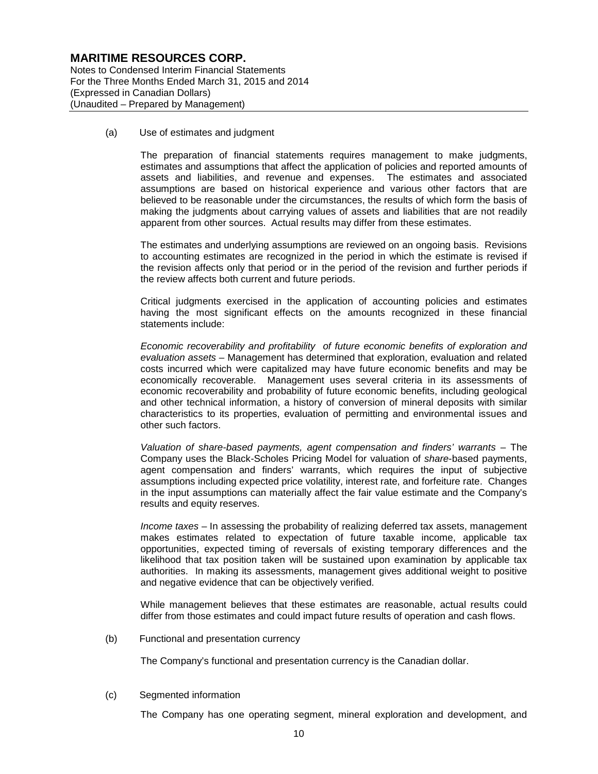Notes to Condensed Interim Financial Statements For the Three Months Ended March 31, 2015 and 2014 (Expressed in Canadian Dollars) (Unaudited – Prepared by Management)

(a) Use of estimates and judgment

The preparation of financial statements requires management to make judgments, estimates and assumptions that affect the application of policies and reported amounts of assets and liabilities, and revenue and expenses. The estimates and associated assumptions are based on historical experience and various other factors that are believed to be reasonable under the circumstances, the results of which form the basis of making the judgments about carrying values of assets and liabilities that are not readily apparent from other sources. Actual results may differ from these estimates.

The estimates and underlying assumptions are reviewed on an ongoing basis. Revisions to accounting estimates are recognized in the period in which the estimate is revised if the revision affects only that period or in the period of the revision and further periods if the review affects both current and future periods.

Critical judgments exercised in the application of accounting policies and estimates having the most significant effects on the amounts recognized in these financial statements include:

*Economic recoverability and profitability of future economic benefits of exploration and evaluation assets* – Management has determined that exploration, evaluation and related costs incurred which were capitalized may have future economic benefits and may be economically recoverable. Management uses several criteria in its assessments of economic recoverability and probability of future economic benefits, including geological and other technical information, a history of conversion of mineral deposits with similar characteristics to its properties, evaluation of permitting and environmental issues and other such factors.

*Valuation of share-based payments, agent compensation and finders' warrants* – The Company uses the Black-Scholes Pricing Model for valuation of *share*-based payments, agent compensation and finders' warrants, which requires the input of subjective assumptions including expected price volatility, interest rate, and forfeiture rate. Changes in the input assumptions can materially affect the fair value estimate and the Company's results and equity reserves.

*Income taxes* – In assessing the probability of realizing deferred tax assets, management makes estimates related to expectation of future taxable income, applicable tax opportunities, expected timing of reversals of existing temporary differences and the likelihood that tax position taken will be sustained upon examination by applicable tax authorities. In making its assessments, management gives additional weight to positive and negative evidence that can be objectively verified.

While management believes that these estimates are reasonable, actual results could differ from those estimates and could impact future results of operation and cash flows.

(b) Functional and presentation currency

The Company's functional and presentation currency is the Canadian dollar.

(c) Segmented information

The Company has one operating segment, mineral exploration and development, and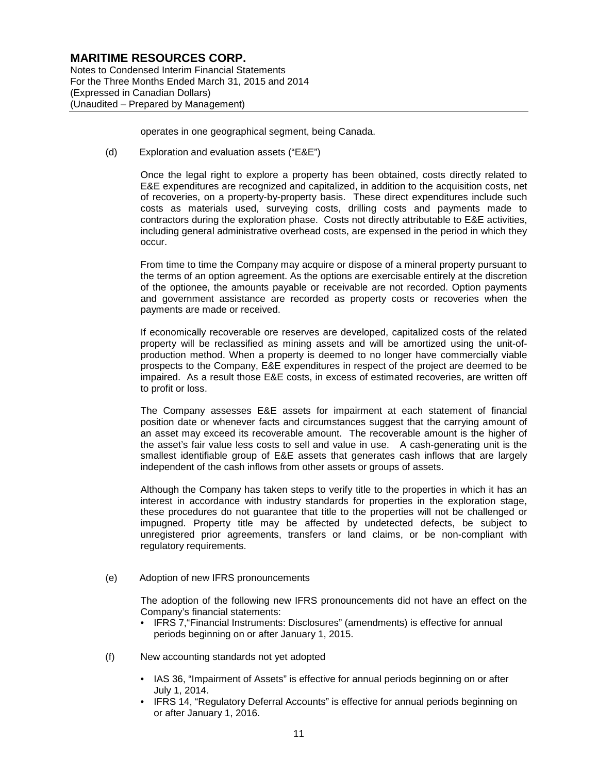Notes to Condensed Interim Financial Statements For the Three Months Ended March 31, 2015 and 2014 (Expressed in Canadian Dollars) (Unaudited – Prepared by Management)

operates in one geographical segment, being Canada.

(d) Exploration and evaluation assets ("E&E")

Once the legal right to explore a property has been obtained, costs directly related to E&E expenditures are recognized and capitalized, in addition to the acquisition costs, net of recoveries, on a property-by-property basis. These direct expenditures include such costs as materials used, surveying costs, drilling costs and payments made to contractors during the exploration phase. Costs not directly attributable to E&E activities, including general administrative overhead costs, are expensed in the period in which they occur.

From time to time the Company may acquire or dispose of a mineral property pursuant to the terms of an option agreement. As the options are exercisable entirely at the discretion of the optionee, the amounts payable or receivable are not recorded. Option payments and government assistance are recorded as property costs or recoveries when the payments are made or received.

If economically recoverable ore reserves are developed, capitalized costs of the related property will be reclassified as mining assets and will be amortized using the unit-ofproduction method. When a property is deemed to no longer have commercially viable prospects to the Company, E&E expenditures in respect of the project are deemed to be impaired. As a result those E&E costs, in excess of estimated recoveries, are written off to profit or loss.

The Company assesses E&E assets for impairment at each statement of financial position date or whenever facts and circumstances suggest that the carrying amount of an asset may exceed its recoverable amount. The recoverable amount is the higher of the asset's fair value less costs to sell and value in use. A cash-generating unit is the smallest identifiable group of E&E assets that generates cash inflows that are largely independent of the cash inflows from other assets or groups of assets.

Although the Company has taken steps to verify title to the properties in which it has an interest in accordance with industry standards for properties in the exploration stage, these procedures do not guarantee that title to the properties will not be challenged or impugned. Property title may be affected by undetected defects, be subject to unregistered prior agreements, transfers or land claims, or be non-compliant with regulatory requirements.

(e) Adoption of new IFRS pronouncements

The adoption of the following new IFRS pronouncements did not have an effect on the Company's financial statements:

- IFRS 7,"Financial Instruments: Disclosures" (amendments) is effective for annual periods beginning on or after January 1, 2015.
- (f) New accounting standards not yet adopted
	- IAS 36, "Impairment of Assets" is effective for annual periods beginning on or after July 1, 2014.
	- IFRS 14, "Regulatory Deferral Accounts" is effective for annual periods beginning on or after January 1, 2016.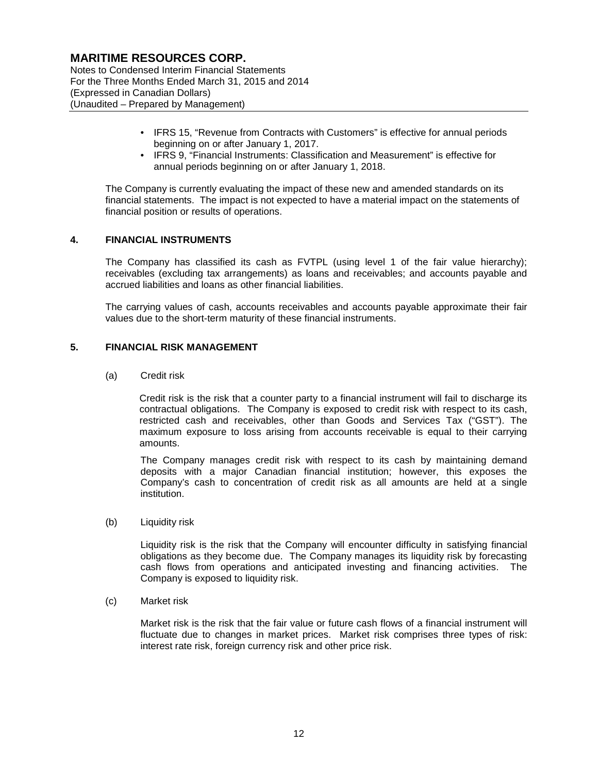Notes to Condensed Interim Financial Statements For the Three Months Ended March 31, 2015 and 2014 (Expressed in Canadian Dollars) (Unaudited – Prepared by Management)

- IFRS 15, "Revenue from Contracts with Customers" is effective for annual periods beginning on or after January 1, 2017.
- IFRS 9, "Financial Instruments: Classification and Measurement" is effective for annual periods beginning on or after January 1, 2018.

The Company is currently evaluating the impact of these new and amended standards on its financial statements. The impact is not expected to have a material impact on the statements of financial position or results of operations.

#### **4. FINANCIAL INSTRUMENTS**

The Company has classified its cash as FVTPL (using level 1 of the fair value hierarchy); receivables (excluding tax arrangements) as loans and receivables; and accounts payable and accrued liabilities and loans as other financial liabilities.

The carrying values of cash, accounts receivables and accounts payable approximate their fair values due to the short-term maturity of these financial instruments.

#### **5. FINANCIAL RISK MANAGEMENT**

(a) Credit risk

Credit risk is the risk that a counter party to a financial instrument will fail to discharge its contractual obligations. The Company is exposed to credit risk with respect to its cash, restricted cash and receivables, other than Goods and Services Tax ("GST"). The maximum exposure to loss arising from accounts receivable is equal to their carrying amounts.

The Company manages credit risk with respect to its cash by maintaining demand deposits with a major Canadian financial institution; however, this exposes the Company's cash to concentration of credit risk as all amounts are held at a single institution.

(b) Liquidity risk

Liquidity risk is the risk that the Company will encounter difficulty in satisfying financial obligations as they become due. The Company manages its liquidity risk by forecasting cash flows from operations and anticipated investing and financing activities. The Company is exposed to liquidity risk.

(c) Market risk

Market risk is the risk that the fair value or future cash flows of a financial instrument will fluctuate due to changes in market prices. Market risk comprises three types of risk: interest rate risk, foreign currency risk and other price risk.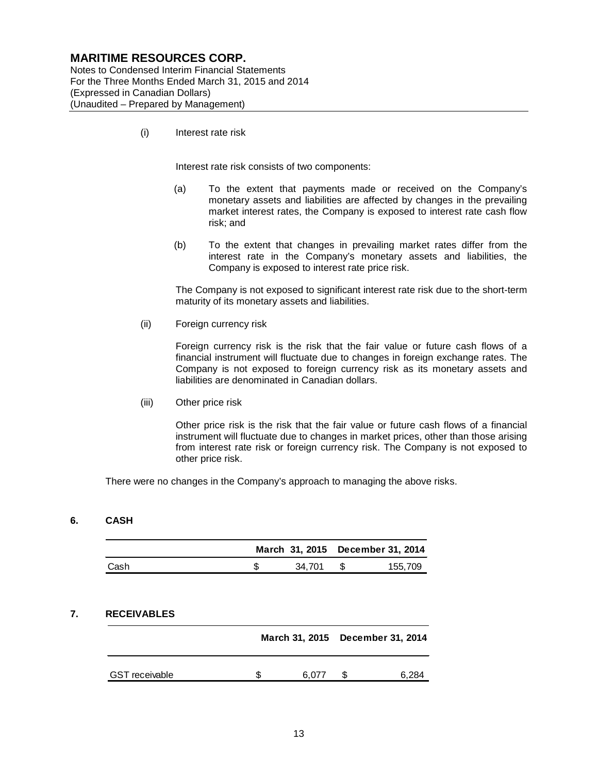Notes to Condensed Interim Financial Statements For the Three Months Ended March 31, 2015 and 2014 (Expressed in Canadian Dollars) (Unaudited – Prepared by Management)

(i) Interest rate risk

Interest rate risk consists of two components:

- (a) To the extent that payments made or received on the Company's monetary assets and liabilities are affected by changes in the prevailing market interest rates, the Company is exposed to interest rate cash flow risk; and
- (b) To the extent that changes in prevailing market rates differ from the interest rate in the Company's monetary assets and liabilities, the Company is exposed to interest rate price risk.

The Company is not exposed to significant interest rate risk due to the short-term maturity of its monetary assets and liabilities.

(ii) Foreign currency risk

Foreign currency risk is the risk that the fair value or future cash flows of a financial instrument will fluctuate due to changes in foreign exchange rates. The Company is not exposed to foreign currency risk as its monetary assets and liabilities are denominated in Canadian dollars.

(iii) Other price risk

Other price risk is the risk that the fair value or future cash flows of a financial instrument will fluctuate due to changes in market prices, other than those arising from interest rate risk or foreign currency risk. The Company is not exposed to other price risk.

There were no changes in the Company's approach to managing the above risks.

#### **6. CASH**

|      |        | March 31, 2015 December 31, 2014 |
|------|--------|----------------------------------|
| Cash | 34.701 | 155.709                          |

#### **7. RECEIVABLES**

|                       |  |       | March 31, 2015 December 31, 2014 |       |  |
|-----------------------|--|-------|----------------------------------|-------|--|
| <b>GST</b> receivable |  | 6.077 |                                  | 6.284 |  |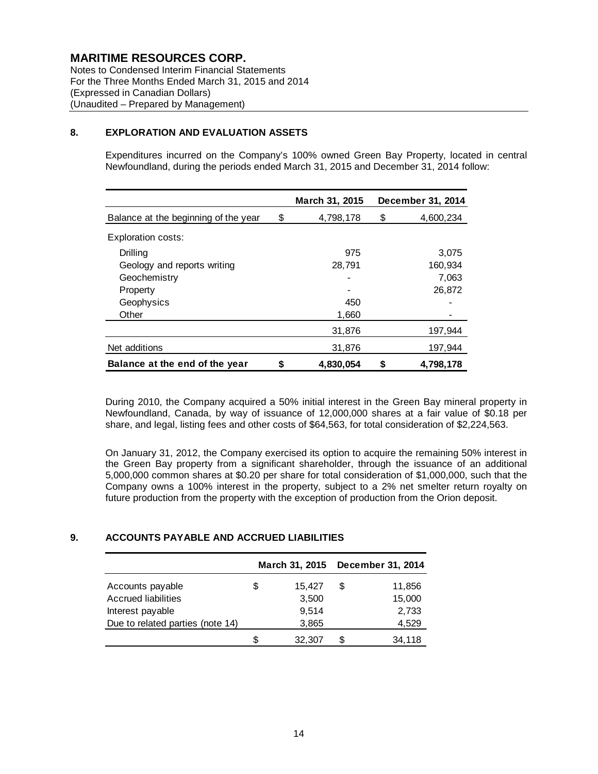Notes to Condensed Interim Financial Statements For the Three Months Ended March 31, 2015 and 2014 (Expressed in Canadian Dollars) (Unaudited – Prepared by Management)

#### **8. EXPLORATION AND EVALUATION ASSETS**

Expenditures incurred on the Company's 100% owned Green Bay Property, located in central Newfoundland, during the periods ended March 31, 2015 and December 31, 2014 follow:

|                                      | March 31, 2015  | December 31, 2014 |
|--------------------------------------|-----------------|-------------------|
| Balance at the beginning of the year | \$<br>4,798,178 | \$<br>4,600,234   |
| <b>Exploration costs:</b>            |                 |                   |
| Drilling                             | 975             | 3,075             |
| Geology and reports writing          | 28,791          | 160,934           |
| Geochemistry                         |                 | 7,063             |
| Property                             |                 | 26,872            |
| Geophysics                           | 450             |                   |
| Other                                | 1,660           |                   |
|                                      | 31,876          | 197,944           |
| Net additions                        | 31,876          | 197,944           |
| Balance at the end of the year       | \$<br>4,830,054 | \$<br>4,798,178   |

During 2010, the Company acquired a 50% initial interest in the Green Bay mineral property in Newfoundland, Canada, by way of issuance of 12,000,000 shares at a fair value of \$0.18 per share, and legal, listing fees and other costs of \$64,563, for total consideration of \$2,224,563.

On January 31, 2012, the Company exercised its option to acquire the remaining 50% interest in the Green Bay property from a significant shareholder, through the issuance of an additional 5,000,000 common shares at \$0.20 per share for total consideration of \$1,000,000, such that the Company owns a 100% interest in the property, subject to a 2% net smelter return royalty on future production from the property with the exception of production from the Orion deposit.

### **9. ACCOUNTS PAYABLE AND ACCRUED LIABILITIES**

|                                  |    | March 31, 2015 |   | December 31, 2014 |
|----------------------------------|----|----------------|---|-------------------|
| Accounts payable                 | S  | 15,427         | S | 11,856            |
| <b>Accrued liabilities</b>       |    | 3,500          |   | 15,000            |
| Interest payable                 |    | 9,514          |   | 2,733             |
| Due to related parties (note 14) |    | 3,865          |   | 4,529             |
|                                  | \$ | 32,307         |   | 34.118            |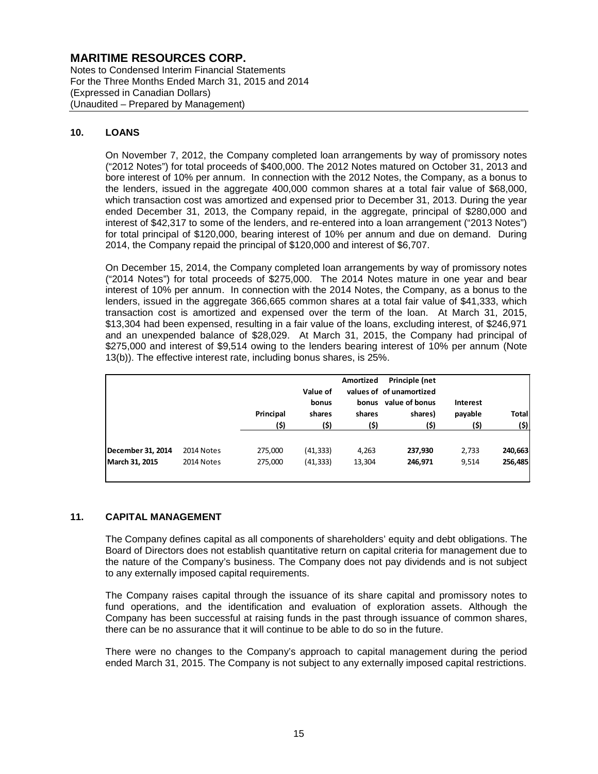Notes to Condensed Interim Financial Statements For the Three Months Ended March 31, 2015 and 2014 (Expressed in Canadian Dollars) (Unaudited – Prepared by Management)

#### **10. LOANS**

On November 7, 2012, the Company completed loan arrangements by way of promissory notes ("2012 Notes") for total proceeds of \$400,000. The 2012 Notes matured on October 31, 2013 and bore interest of 10% per annum. In connection with the 2012 Notes, the Company, as a bonus to the lenders, issued in the aggregate 400,000 common shares at a total fair value of \$68,000, which transaction cost was amortized and expensed prior to December 31, 2013. During the year ended December 31, 2013, the Company repaid, in the aggregate, principal of \$280,000 and interest of \$42,317 to some of the lenders, and re-entered into a loan arrangement ("2013 Notes") for total principal of \$120,000, bearing interest of 10% per annum and due on demand. During 2014, the Company repaid the principal of \$120,000 and interest of \$6,707.

On December 15, 2014, the Company completed loan arrangements by way of promissory notes ("2014 Notes") for total proceeds of \$275,000. The 2014 Notes mature in one year and bear interest of 10% per annum. In connection with the 2014 Notes, the Company, as a bonus to the lenders, issued in the aggregate 366,665 common shares at a total fair value of \$41,333, which transaction cost is amortized and expensed over the term of the loan. At March 31, 2015, \$13,304 had been expensed, resulting in a fair value of the loans, excluding interest, of \$246,971 and an unexpended balance of \$28,029. At March 31, 2015, the Company had principal of \$275,000 and interest of \$9,514 owing to the lenders bearing interest of 10% per annum (Note 13(b)). The effective interest rate, including bonus shares, is 25%.

|                   |            | Principal<br>(\$) | Value of<br>bonus<br>shares<br>(\$) | Amortized<br>bonus<br>shares<br>(\$) | Principle (net<br>values of of unamortized<br>value of bonus<br>shares)<br>(\$) | Interest<br>payable<br>(\$) | <b>Total</b><br>(\$) |
|-------------------|------------|-------------------|-------------------------------------|--------------------------------------|---------------------------------------------------------------------------------|-----------------------------|----------------------|
| December 31, 2014 | 2014 Notes | 275,000           | (41, 333)                           | 4,263                                | 237,930                                                                         | 2,733                       | 240,663              |
| March 31, 2015    | 2014 Notes | 275,000           | (41, 333)                           | 13,304                               | 246,971                                                                         | 9,514                       | 256,485              |

### **11. CAPITAL MANAGEMENT**

The Company defines capital as all components of shareholders' equity and debt obligations. The Board of Directors does not establish quantitative return on capital criteria for management due to the nature of the Company's business. The Company does not pay dividends and is not subject to any externally imposed capital requirements.

The Company raises capital through the issuance of its share capital and promissory notes to fund operations, and the identification and evaluation of exploration assets. Although the Company has been successful at raising funds in the past through issuance of common shares, there can be no assurance that it will continue to be able to do so in the future.

There were no changes to the Company's approach to capital management during the period ended March 31, 2015. The Company is not subject to any externally imposed capital restrictions.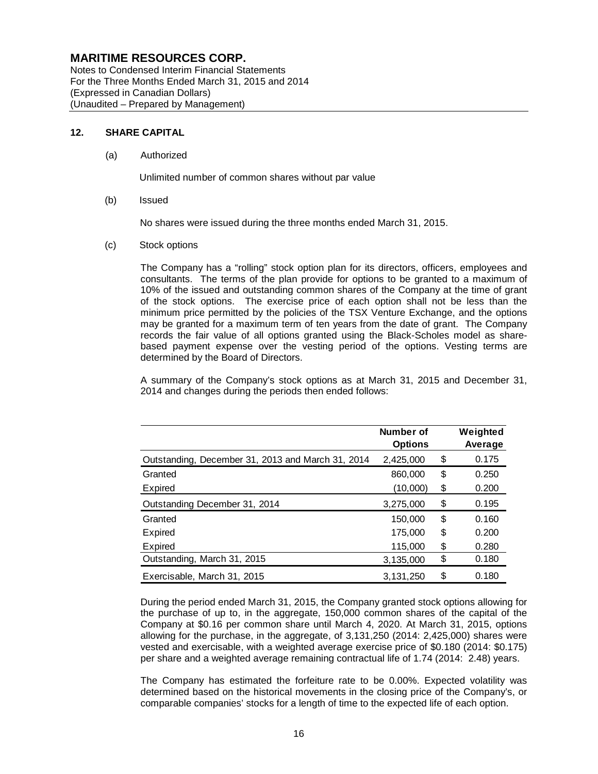Notes to Condensed Interim Financial Statements For the Three Months Ended March 31, 2015 and 2014 (Expressed in Canadian Dollars) (Unaudited – Prepared by Management)

#### **12. SHARE CAPITAL**

(a) Authorized

Unlimited number of common shares without par value

(b) Issued

No shares were issued during the three months ended March 31, 2015.

(c) Stock options

The Company has a "rolling" stock option plan for its directors, officers, employees and consultants. The terms of the plan provide for options to be granted to a maximum of 10% of the issued and outstanding common shares of the Company at the time of grant of the stock options. The exercise price of each option shall not be less than the minimum price permitted by the policies of the TSX Venture Exchange, and the options may be granted for a maximum term of ten years from the date of grant. The Company records the fair value of all options granted using the Black-Scholes model as sharebased payment expense over the vesting period of the options. Vesting terms are determined by the Board of Directors.

A summary of the Company's stock options as at March 31, 2015 and December 31, 2014 and changes during the periods then ended follows:

|                                                   | Number of<br><b>Options</b> | Weighted<br>Average |
|---------------------------------------------------|-----------------------------|---------------------|
| Outstanding, December 31, 2013 and March 31, 2014 | 2,425,000                   | \$<br>0.175         |
| Granted                                           | 860,000                     | \$<br>0.250         |
| Expired                                           | (10,000)                    | \$<br>0.200         |
| Outstanding December 31, 2014                     | 3,275,000                   | \$<br>0.195         |
| Granted                                           | 150.000                     | \$<br>0.160         |
| Expired                                           | 175,000                     | \$<br>0.200         |
| Expired                                           | 115,000                     | \$<br>0.280         |
| Outstanding, March 31, 2015                       | 3,135,000                   | \$<br>0.180         |
| Exercisable, March 31, 2015                       | 3.131.250                   | \$<br>0.180         |

During the period ended March 31, 2015, the Company granted stock options allowing for the purchase of up to, in the aggregate, 150,000 common shares of the capital of the Company at \$0.16 per common share until March 4, 2020. At March 31, 2015, options allowing for the purchase, in the aggregate, of 3,131,250 (2014: 2,425,000) shares were vested and exercisable, with a weighted average exercise price of \$0.180 (2014: \$0.175) per share and a weighted average remaining contractual life of 1.74 (2014: 2.48) years.

The Company has estimated the forfeiture rate to be 0.00%. Expected volatility was determined based on the historical movements in the closing price of the Company's, or comparable companies' stocks for a length of time to the expected life of each option.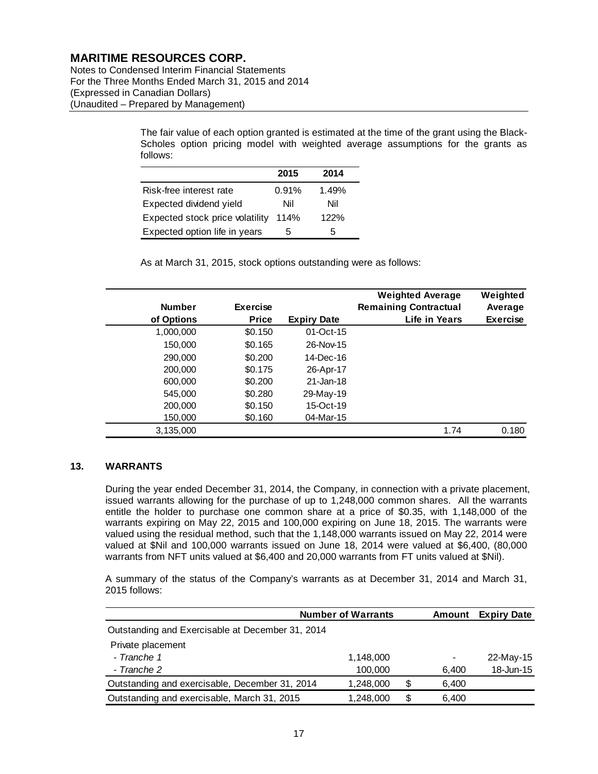Notes to Condensed Interim Financial Statements For the Three Months Ended March 31, 2015 and 2014 (Expressed in Canadian Dollars) (Unaudited – Prepared by Management)

> The fair value of each option granted is estimated at the time of the grant using the Black-Scholes option pricing model with weighted average assumptions for the grants as follows:

|                                 | 2015  | 2014  |
|---------------------------------|-------|-------|
| Risk-free interest rate         | 0.91% | 1.49% |
| Expected dividend yield         | Nil   | Nil   |
| Expected stock price volatility | 114%  | 122%  |
| Expected option life in years   | 5     | ٠h    |

As at March 31, 2015, stock options outstanding were as follows:

| <b>Number</b><br>of Options | <b>Exercise</b><br><b>Price</b> | <b>Expiry Date</b> | <b>Weighted Average</b><br><b>Remaining Contractual</b><br>Life in Years | Weighted<br>Average<br><b>Exercise</b> |
|-----------------------------|---------------------------------|--------------------|--------------------------------------------------------------------------|----------------------------------------|
| 1,000,000                   | \$0.150                         | 01-Oct-15          |                                                                          |                                        |
| 150,000                     | \$0.165                         | 26-Nov-15          |                                                                          |                                        |
| 290,000                     | \$0.200                         | 14-Dec-16          |                                                                          |                                        |
| 200,000                     | \$0.175                         | 26-Apr-17          |                                                                          |                                        |
| 600,000                     | \$0.200                         | 21-Jan-18          |                                                                          |                                        |
| 545,000                     | \$0.280                         | 29-May-19          |                                                                          |                                        |
| 200,000                     | \$0.150                         | 15-Oct-19          |                                                                          |                                        |
| 150,000                     | \$0.160                         | 04-Mar-15          |                                                                          |                                        |
| 3,135,000                   |                                 |                    | 1.74                                                                     | 0.180                                  |

### **13. WARRANTS**

During the year ended December 31, 2014, the Company, in connection with a private placement, issued warrants allowing for the purchase of up to 1,248,000 common shares. All the warrants entitle the holder to purchase one common share at a price of \$0.35, with 1,148,000 of the warrants expiring on May 22, 2015 and 100,000 expiring on June 18, 2015. The warrants were valued using the residual method, such that the 1,148,000 warrants issued on May 22, 2014 were valued at \$Nil and 100,000 warrants issued on June 18, 2014 were valued at \$6,400, (80,000 warrants from NFT units valued at \$6,400 and 20,000 warrants from FT units valued at \$Nil).

A summary of the status of the Company's warrants as at December 31, 2014 and March 31, 2015 follows:

|                                                  | <b>Number of Warrants</b> | Amount | <b>Expiry Date</b> |           |
|--------------------------------------------------|---------------------------|--------|--------------------|-----------|
| Outstanding and Exercisable at December 31, 2014 |                           |        |                    |           |
| Private placement                                |                           |        |                    |           |
| - Tranche 1                                      | 1,148,000                 |        | -                  | 22-May-15 |
| - Tranche 2                                      | 100,000                   |        | 6.400              | 18-Jun-15 |
| Outstanding and exercisable, December 31, 2014   | 1,248,000                 | S      | 6,400              |           |
| Outstanding and exercisable, March 31, 2015      | 1,248,000                 | S      | 6,400              |           |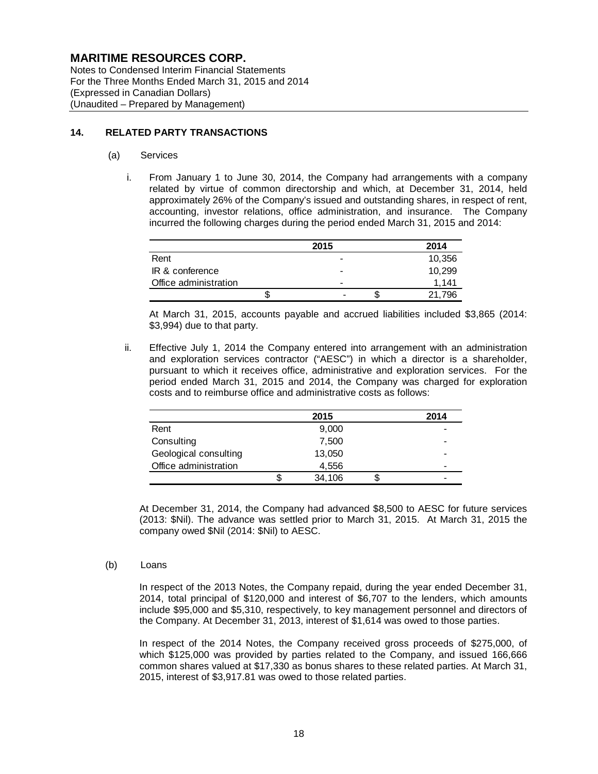Notes to Condensed Interim Financial Statements For the Three Months Ended March 31, 2015 and 2014 (Expressed in Canadian Dollars) (Unaudited – Prepared by Management)

#### **14. RELATED PARTY TRANSACTIONS**

#### (a) Services

i. From January 1 to June 30, 2014, the Company had arrangements with a company related by virtue of common directorship and which, at December 31, 2014, held approximately 26% of the Company's issued and outstanding shares, in respect of rent, accounting, investor relations, office administration, and insurance. The Company incurred the following charges during the period ended March 31, 2015 and 2014:

|                       |   | 2015                     |   | 2014   |
|-----------------------|---|--------------------------|---|--------|
| Rent                  |   | $\overline{\phantom{0}}$ |   | 10,356 |
| IR & conference       |   | $\overline{\phantom{0}}$ |   | 10,299 |
| Office administration |   | $\overline{\phantom{0}}$ |   | 1.141  |
|                       | S | $\overline{\phantom{0}}$ | S | 21.796 |

At March 31, 2015, accounts payable and accrued liabilities included \$3,865 (2014: \$3,994) due to that party.

ii. Effective July 1, 2014 the Company entered into arrangement with an administration and exploration services contractor ("AESC") in which a director is a shareholder, pursuant to which it receives office, administrative and exploration services. For the period ended March 31, 2015 and 2014, the Company was charged for exploration costs and to reimburse office and administrative costs as follows:

|                       |   | 2015   |   | 2014 |
|-----------------------|---|--------|---|------|
| Rent                  |   | 9,000  |   |      |
| Consulting            |   | 7,500  |   |      |
| Geological consulting |   | 13,050 |   |      |
| Office administration |   | 4,556  |   | -    |
|                       | S | 34,106 | S |      |

At December 31, 2014, the Company had advanced \$8,500 to AESC for future services (2013: \$Nil). The advance was settled prior to March 31, 2015. At March 31, 2015 the company owed \$Nil (2014: \$Nil) to AESC.

#### (b) Loans

In respect of the 2013 Notes, the Company repaid, during the year ended December 31, 2014, total principal of \$120,000 and interest of \$6,707 to the lenders, which amounts include \$95,000 and \$5,310, respectively, to key management personnel and directors of the Company. At December 31, 2013, interest of \$1,614 was owed to those parties.

In respect of the 2014 Notes, the Company received gross proceeds of \$275,000, of which \$125,000 was provided by parties related to the Company, and issued 166,666 common shares valued at \$17,330 as bonus shares to these related parties. At March 31, 2015, interest of \$3,917.81 was owed to those related parties.